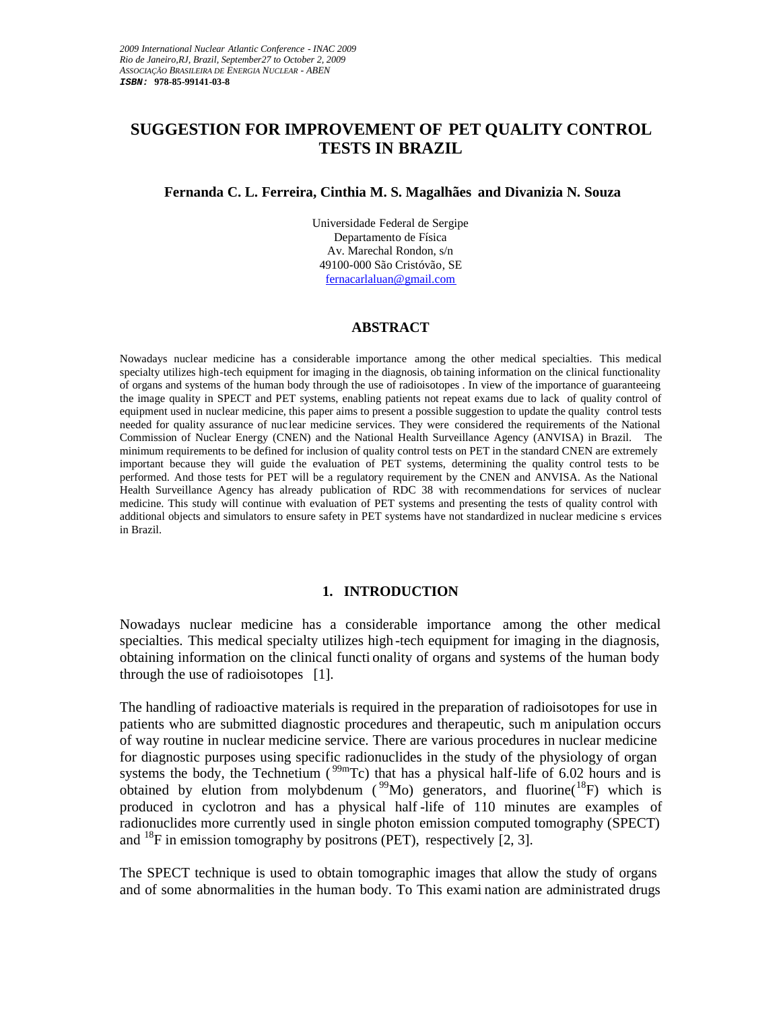# **SUGGESTION FOR IMPROVEMENT OF PET QUALITY CONTROL TESTS IN BRAZIL**

### **Fernanda C. L. Ferreira, Cinthia M. S. Magalhães and Divanizia N. Souza**

Universidade Federal de Sergipe Departamento de Física Av. Marechal Rondon, s/n 49100-000 São Cristóvão, SE fernacarlaluan@gmail.com

#### **ABSTRACT**

Nowadays nuclear medicine has a considerable importance among the other medical specialties. This medical specialty utilizes high-tech equipment for imaging in the diagnosis, ob taining information on the clinical functionality of organs and systems of the human body through the use of radioisotopes . In view of the importance of guaranteeing the image quality in SPECT and PET systems, enabling patients not repeat exams due to lack of quality control of equipment used in nuclear medicine, this paper aims to present a possible suggestion to update the quality control tests needed for quality assurance of nuc lear medicine services. They were considered the requirements of the National Commission of Nuclear Energy (CNEN) and the National Health Surveillance Agency (ANVISA) in Brazil. The minimum requirements to be defined for inclusion of quality control tests on PET in the standard CNEN are extremely important because they will guide the evaluation of PET systems, determining the quality control tests to be performed. And those tests for PET will be a regulatory requirement by the CNEN and ANVISA. As the National Health Surveillance Agency has already publication of RDC 38 with recommendations for services of nuclear medicine. This study will continue with evaluation of PET systems and presenting the tests of quality control with additional objects and simulators to ensure safety in PET systems have not standardized in nuclear medicine s ervices in Brazil.

### **1. INTRODUCTION**

Nowadays nuclear medicine has a considerable importance among the other medical specialties. This medical specialty utilizes high -tech equipment for imaging in the diagnosis, obtaining information on the clinical functi onality of organs and systems of the human body through the use of radioisotopes [1].

The handling of radioactive materials is required in the preparation of radioisotopes for use in patients who are submitted diagnostic procedures and therapeutic, such m anipulation occurs of way routine in nuclear medicine service. There are various procedures in nuclear medicine for diagnostic purposes using specific radionuclides in the study of the physiology of organ systems the body, the Technetium ( $^{99m}$ Tc) that has a physical half-life of 6.02 hours and is obtained by elution from molybdenum ( $\rm{^{99}Mo}$ ) generators, and fluorine( $\rm{^{18}F}$ ) which is produced in cyclotron and has a physical half -life of 110 minutes are examples of radionuclides more currently used in single photon emission computed tomography (SPECT) and  $^{18}$ F in emission tomography by positrons (PET), respectively [2, 3].

The SPECT technique is used to obtain tomographic images that allow the study of organs and of some abnormalities in the human body. To This exami nation are administrated drugs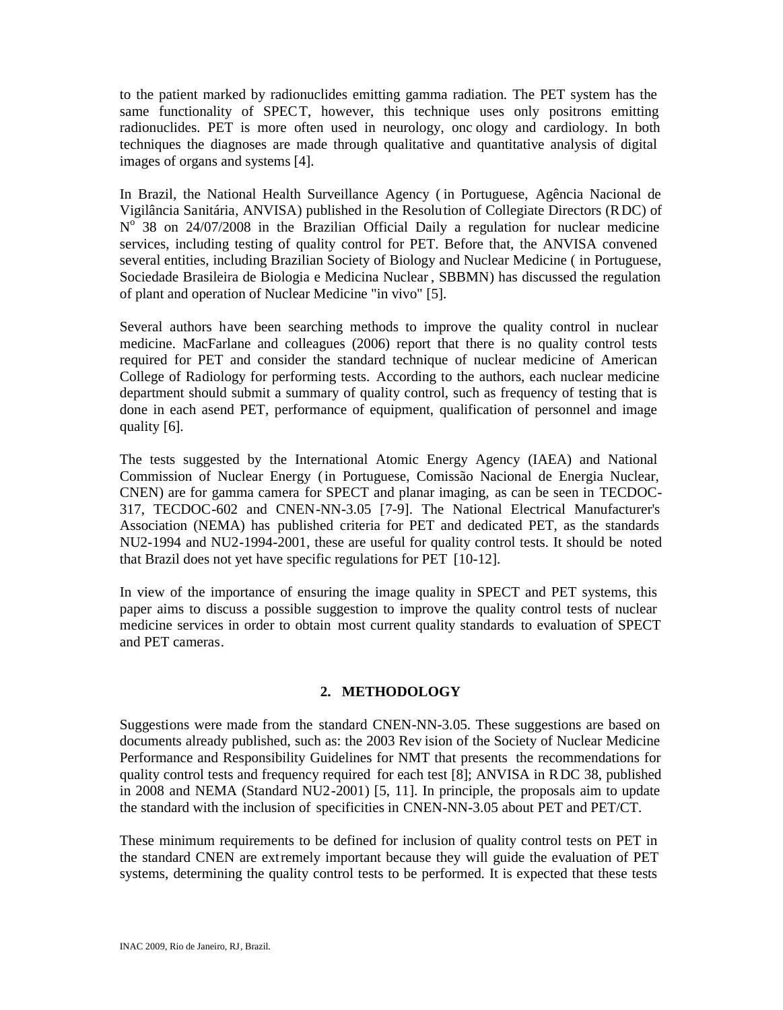to the patient marked by radionuclides emitting gamma radiation. The PET system has the same functionality of SPECT, however, this technique uses only positrons emitting radionuclides. PET is more often used in neurology, onc ology and cardiology. In both techniques the diagnoses are made through qualitative and quantitative analysis of digital images of organs and systems [4].

In Brazil, the National Health Surveillance Agency ( in Portuguese, Agência Nacional de Vigilância Sanitária, ANVISA) published in the Resolution of Collegiate Directors (RDC) of  $N^{\circ}$  38 on 24/07/2008 in the Brazilian Official Daily a regulation for nuclear medicine services, including testing of quality control for PET. Before that, the ANVISA convened several entities, including Brazilian Society of Biology and Nuclear Medicine ( in Portuguese, Sociedade Brasileira de Biologia e Medicina Nuclear , SBBMN) has discussed the regulation of plant and operation of Nuclear Medicine "in vivo" [5].

Several authors have been searching methods to improve the quality control in nuclear medicine. MacFarlane and colleagues (2006) report that there is no quality control tests required for PET and consider the standard technique of nuclear medicine of American College of Radiology for performing tests. According to the authors, each nuclear medicine department should submit a summary of quality control, such as frequency of testing that is done in each asend PET, performance of equipment, qualification of personnel and image quality [6].

The tests suggested by the International Atomic Energy Agency (IAEA) and National Commission of Nuclear Energy (in Portuguese, Comissão Nacional de Energia Nuclear, CNEN) are for gamma camera for SPECT and planar imaging, as can be seen in TECDOC-317, TECDOC-602 and CNEN-NN-3.05 [7-9]. The National Electrical Manufacturer's Association (NEMA) has published criteria for PET and dedicated PET, as the standards NU2-1994 and NU2-1994-2001, these are useful for quality control tests. It should be noted that Brazil does not yet have specific regulations for PET [10-12].

In view of the importance of ensuring the image quality in SPECT and PET systems, this paper aims to discuss a possible suggestion to improve the quality control tests of nuclear medicine services in order to obtain most current quality standards to evaluation of SPECT and PET cameras.

# **2. METHODOLOGY**

Suggestions were made from the standard CNEN-NN-3.05. These suggestions are based on documents already published, such as: the 2003 Rev ision of the Society of Nuclear Medicine Performance and Responsibility Guidelines for NMT that presents the recommendations for quality control tests and frequency required for each test [8]; ANVISA in RDC 38, published in 2008 and NEMA (Standard NU2-2001) [5, 11]. In principle, the proposals aim to update the standard with the inclusion of specificities in CNEN-NN-3.05 about PET and PET/CT.

These minimum requirements to be defined for inclusion of quality control tests on PET in the standard CNEN are extremely important because they will guide the evaluation of PET systems, determining the quality control tests to be performed. It is expected that these tests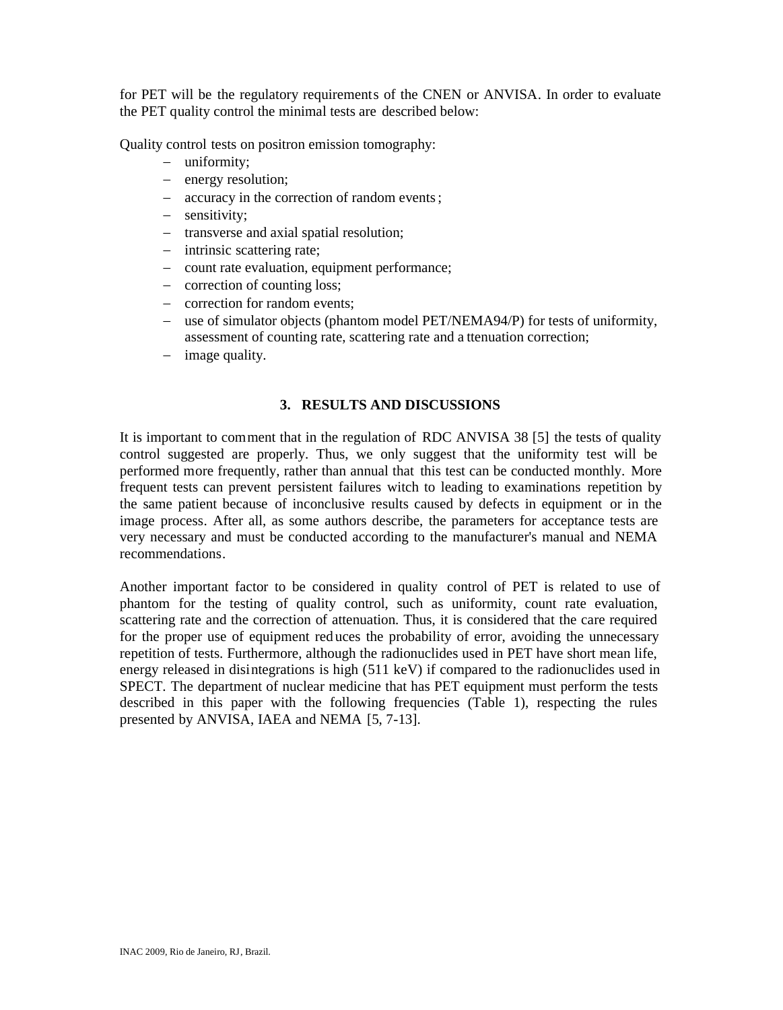for PET will be the regulatory requirements of the CNEN or ANVISA. In order to evaluate the PET quality control the minimal tests are described below:

Quality control tests on positron emission tomography:

- uniformity;
- energy resolution;
- accuracy in the correction of random events;
- sensitivity;
- transverse and axial spatial resolution;
- intrinsic scattering rate;
- count rate evaluation, equipment performance;
- correction of counting loss:
- correction for random events:
- use of simulator objects (phantom model PET/NEMA94/P) for tests of uniformity, assessment of counting rate, scattering rate and a ttenuation correction;
- $-$  image quality.

# **3. RESULTS AND DISCUSSIONS**

It is important to comment that in the regulation of RDC ANVISA 38 [5] the tests of quality control suggested are properly. Thus, we only suggest that the uniformity test will be performed more frequently, rather than annual that this test can be conducted monthly. More frequent tests can prevent persistent failures witch to leading to examinations repetition by the same patient because of inconclusive results caused by defects in equipment or in the image process. After all, as some authors describe, the parameters for acceptance tests are very necessary and must be conducted according to the manufacturer's manual and NEMA recommendations.

Another important factor to be considered in quality control of PET is related to use of phantom for the testing of quality control, such as uniformity, count rate evaluation, scattering rate and the correction of attenuation. Thus, it is considered that the care required for the proper use of equipment red uces the probability of error, avoiding the unnecessary repetition of tests. Furthermore, although the radionuclides used in PET have short mean life, energy released in disintegrations is high (511 keV) if compared to the radionuclides used in SPECT. The department of nuclear medicine that has PET equipment must perform the tests described in this paper with the following frequencies (Table 1), respecting the rules presented by ANVISA, IAEA and NEMA [5, 7-13].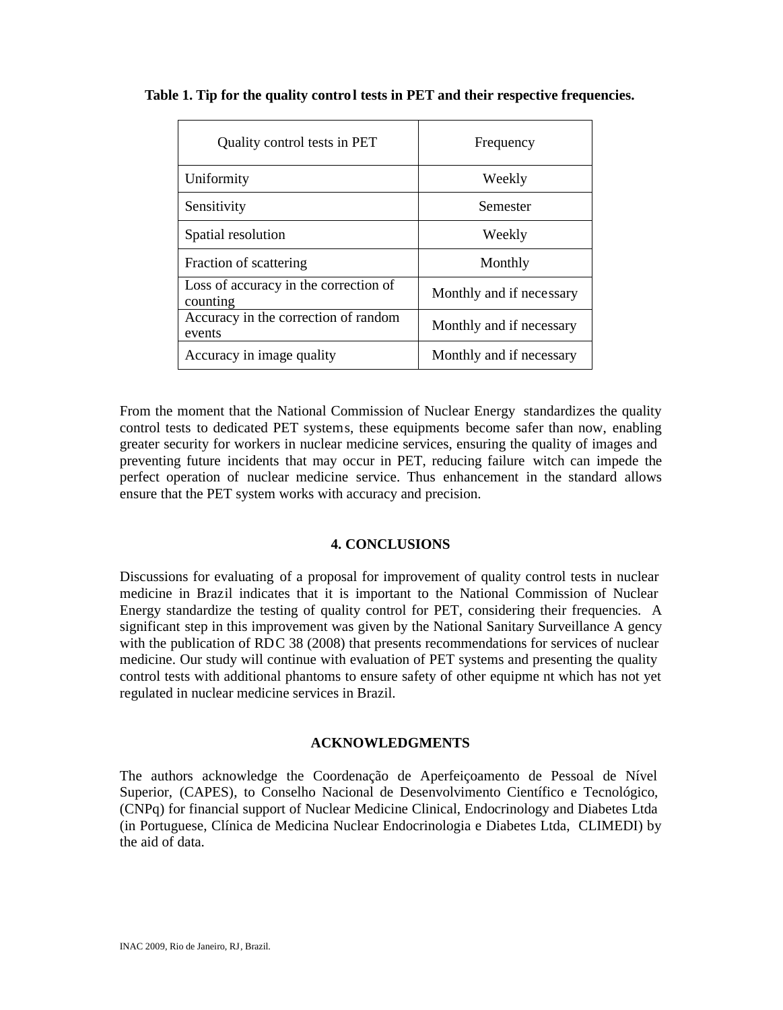| Quality control tests in PET                      | Frequency                |
|---------------------------------------------------|--------------------------|
| Uniformity                                        | Weekly                   |
| Sensitivity                                       | Semester                 |
| Spatial resolution                                | Weekly                   |
| Fraction of scattering                            | Monthly                  |
| Loss of accuracy in the correction of<br>counting | Monthly and if necessary |
| Accuracy in the correction of random<br>events    | Monthly and if necessary |
| Accuracy in image quality                         | Monthly and if necessary |

# **Table 1. Tip for the quality control tests in PET and their respective frequencies.**

From the moment that the National Commission of Nuclear Energy standardizes the quality control tests to dedicated PET systems, these equipments become safer than now, enabling greater security for workers in nuclear medicine services, ensuring the quality of images and preventing future incidents that may occur in PET, reducing failure witch can impede the perfect operation of nuclear medicine service. Thus enhancement in the standard allows ensure that the PET system works with accuracy and precision.

# **4. CONCLUSIONS**

Discussions for evaluating of a proposal for improvement of quality control tests in nuclear medicine in Brazil indicates that it is important to the National Commission of Nuclear Energy standardize the testing of quality control for PET, considering their frequencies. A significant step in this improvement was given by the National Sanitary Surveillance A gency with the publication of RDC 38 (2008) that presents recommendations for services of nuclear medicine. Our study will continue with evaluation of PET systems and presenting the quality control tests with additional phantoms to ensure safety of other equipme nt which has not yet regulated in nuclear medicine services in Brazil.

### **ACKNOWLEDGMENTS**

The authors acknowledge the Coordenação de Aperfeiçoamento de Pessoal de Nível Superior, (CAPES), to Conselho Nacional de Desenvolvimento Científico e Tecnológico, (CNPq) for financial support of Nuclear Medicine Clinical, Endocrinology and Diabetes Ltda (in Portuguese, Clínica de Medicina Nuclear Endocrinologia e Diabetes Ltda, CLIMEDI) by the aid of data.